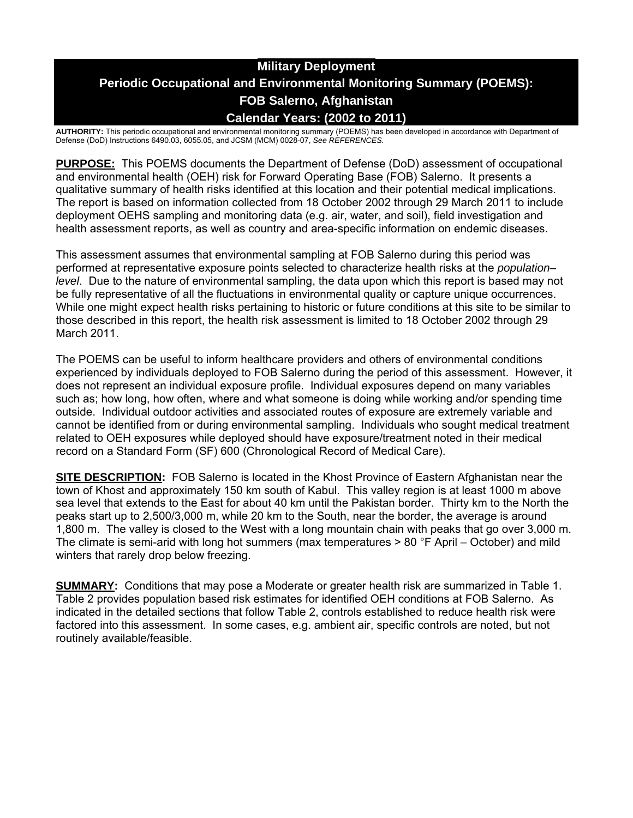# **Military Deployment Periodic Occupational and Environmental Monitoring Summary (POEMS): FOB Salerno, Afghanistan Calendar Years: (2002 to 2011)**

**AUTHORITY:** This periodic occupational and environmental monitoring summary (POEMS) has been developed in accordance with Department of Defense (DoD) Instructions 6490.03, 6055.05, and JCSM (MCM) 0028-07, *See REFERENCES.* 

**PURPOSE:** This POEMS documents the Department of Defense (DoD) assessment of occupational and environmental health (OEH) risk for Forward Operating Base (FOB) Salerno. It presents a qualitative summary of health risks identified at this location and their potential medical implications. The report is based on information collected from 18 October 2002 through 29 March 2011 to include deployment OEHS sampling and monitoring data (e.g. air, water, and soil), field investigation and health assessment reports, as well as country and area-specific information on endemic diseases.

This assessment assumes that environmental sampling at FOB Salerno during this period was performed at representative exposure points selected to characterize health risks at the *population– level*. Due to the nature of environmental sampling, the data upon which this report is based may not be fully representative of all the fluctuations in environmental quality or capture unique occurrences. While one might expect health risks pertaining to historic or future conditions at this site to be similar to those described in this report, the health risk assessment is limited to 18 October 2002 through 29 March 2011.

The POEMS can be useful to inform healthcare providers and others of environmental conditions experienced by individuals deployed to FOB Salerno during the period of this assessment. However, it does not represent an individual exposure profile. Individual exposures depend on many variables such as; how long, how often, where and what someone is doing while working and/or spending time outside. Individual outdoor activities and associated routes of exposure are extremely variable and cannot be identified from or during environmental sampling. Individuals who sought medical treatment related to OEH exposures while deployed should have exposure/treatment noted in their medical record on a Standard Form (SF) 600 (Chronological Record of Medical Care).

**SITE DESCRIPTION:** FOB Salerno is located in the Khost Province of Eastern Afghanistan near the town of Khost and approximately 150 km south of Kabul. This valley region is at least 1000 m above sea level that extends to the East for about 40 km until the Pakistan border. Thirty km to the North the peaks start up to 2,500/3,000 m, while 20 km to the South, near the border, the average is around 1,800 m. The valley is closed to the West with a long mountain chain with peaks that go over 3,000 m. The climate is semi-arid with long hot summers (max temperatures > 80 °F April – October) and mild winters that rarely drop below freezing.

**SUMMARY:** Conditions that may pose a Moderate or greater health risk are summarized in Table 1. Table 2 provides population based risk estimates for identified OEH conditions at FOB Salerno. As indicated in the detailed sections that follow Table 2, controls established to reduce health risk were factored into this assessment. In some cases, e.g. ambient air, specific controls are noted, but not routinely available/feasible.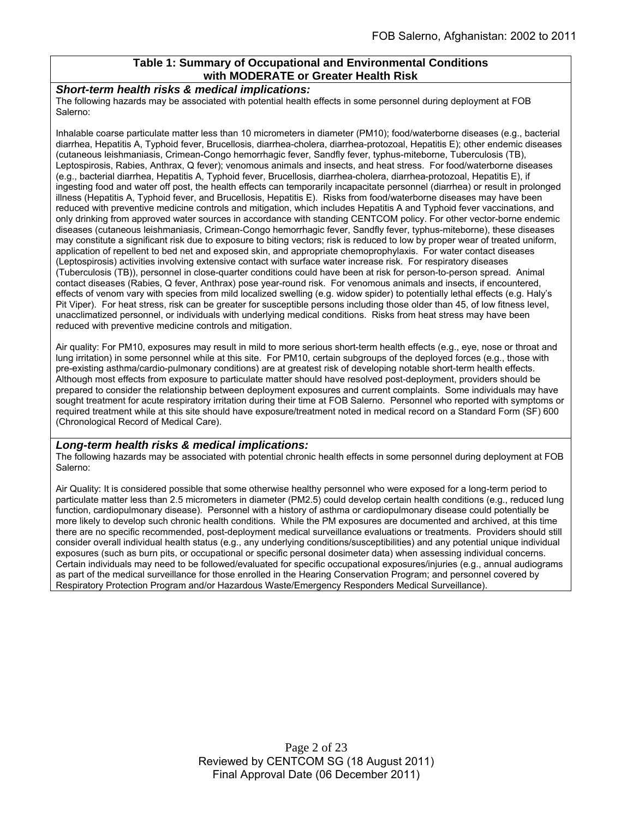# **Table 1: Summary of Occupational and Environmental Conditions with MODERATE or Greater Health Risk**

#### *Short-term health risks & medical implications:*

The following hazards may be associated with potential health effects in some personnel during deployment at FOB Salerno:

Inhalable coarse particulate matter less than 10 micrometers in diameter (PM10); food/waterborne diseases (e.g., bacterial diarrhea, Hepatitis A, Typhoid fever, Brucellosis, diarrhea-cholera, diarrhea-protozoal, Hepatitis E); other endemic diseases (cutaneous leishmaniasis, Crimean-Congo hemorrhagic fever, Sandfly fever, typhus-miteborne, Tuberculosis (TB), Leptospirosis, Rabies, Anthrax, Q fever); venomous animals and insects, and heat stress. For food/waterborne diseases (e.g., bacterial diarrhea, Hepatitis A, Typhoid fever, Brucellosis, diarrhea-cholera, diarrhea-protozoal, Hepatitis E), if ingesting food and water off post, the health effects can temporarily incapacitate personnel (diarrhea) or result in prolonged illness (Hepatitis A, Typhoid fever, and Brucellosis, Hepatitis E). Risks from food/waterborne diseases may have been reduced with preventive medicine controls and mitigation, which includes Hepatitis A and Typhoid fever vaccinations, and only drinking from approved water sources in accordance with standing CENTCOM policy. For other vector-borne endemic diseases (cutaneous leishmaniasis, Crimean-Congo hemorrhagic fever, Sandfly fever, typhus-miteborne), these diseases may constitute a significant risk due to exposure to biting vectors; risk is reduced to low by proper wear of treated uniform, application of repellent to bed net and exposed skin, and appropriate chemoprophylaxis. For water contact diseases (Leptospirosis) activities involving extensive contact with surface water increase risk. For respiratory diseases (Tuberculosis (TB)), personnel in close-quarter conditions could have been at risk for person-to-person spread. Animal contact diseases (Rabies, Q fever, Anthrax) pose year-round risk. For venomous animals and insects, if encountered, effects of venom vary with species from mild localized swelling (e.g. widow spider) to potentially lethal effects (e.g. Haly's Pit Viper). For heat stress, risk can be greater for susceptible persons including those older than 45, of low fitness level, unacclimatized personnel, or individuals with underlying medical conditions. Risks from heat stress may have been reduced with preventive medicine controls and mitigation.

Air quality: For PM10, exposures may result in mild to more serious short-term health effects (e.g., eye, nose or throat and lung irritation) in some personnel while at this site. For PM10, certain subgroups of the deployed forces (e.g., those with pre-existing asthma/cardio-pulmonary conditions) are at greatest risk of developing notable short-term health effects. Although most effects from exposure to particulate matter should have resolved post-deployment, providers should be prepared to consider the relationship between deployment exposures and current complaints. Some individuals may have sought treatment for acute respiratory irritation during their time at FOB Salerno. Personnel who reported with symptoms or required treatment while at this site should have exposure/treatment noted in medical record on a Standard Form (SF) 600 (Chronological Record of Medical Care).

#### *Long-term health risks & medical implications:*

The following hazards may be associated with potential chronic health effects in some personnel during deployment at FOB Salerno:

Air Quality: It is considered possible that some otherwise healthy personnel who were exposed for a long-term period to particulate matter less than 2.5 micrometers in diameter (PM2.5) could develop certain health conditions (e.g., reduced lung function, cardiopulmonary disease). Personnel with a history of asthma or cardiopulmonary disease could potentially be more likely to develop such chronic health conditions. While the PM exposures are documented and archived, at this time there are no specific recommended, post-deployment medical surveillance evaluations or treatments. Providers should still consider overall individual health status (e.g., any underlying conditions/susceptibilities) and any potential unique individual exposures (such as burn pits, or occupational or specific personal dosimeter data) when assessing individual concerns. Certain individuals may need to be followed/evaluated for specific occupational exposures/injuries (e.g., annual audiograms as part of the medical surveillance for those enrolled in the Hearing Conservation Program; and personnel covered by Respiratory Protection Program and/or Hazardous Waste/Emergency Responders Medical Surveillance).

> Page 2 of 23 Reviewed by CENTCOM SG (18 August 2011) Final Approval Date (06 December 2011)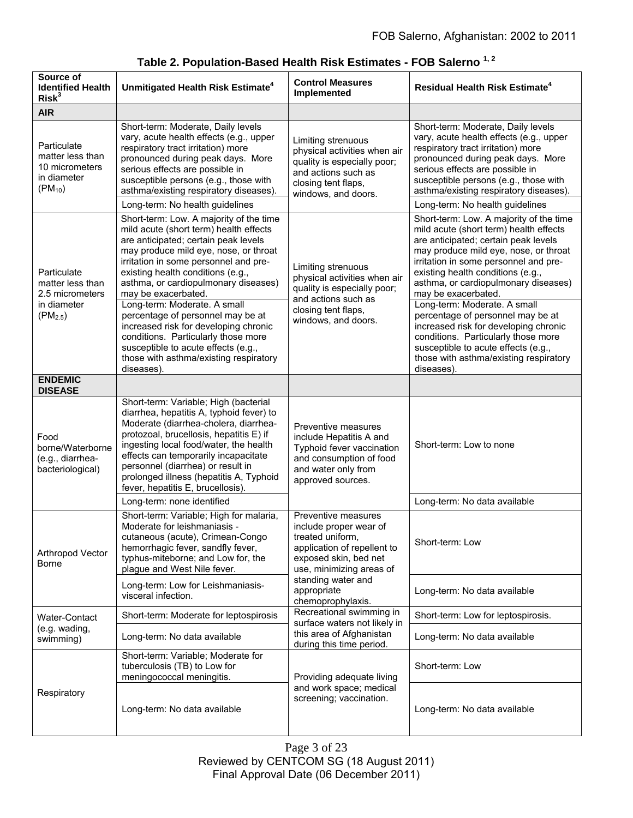| Source of<br><b>Identified Health</b><br>Risk <sup>3</sup>                        | Unmitigated Health Risk Estimate <sup>4</sup>                                                                                                                                                                                                                                                                                                                                                                                                                                                                                                                       | <b>Control Measures</b><br>Implemented                                                                                                                                                                          | <b>Residual Health Risk Estimate<sup>4</sup></b>                                                                                                                                                                                                                                                                                                                                                                                                                                                                                                                    |
|-----------------------------------------------------------------------------------|---------------------------------------------------------------------------------------------------------------------------------------------------------------------------------------------------------------------------------------------------------------------------------------------------------------------------------------------------------------------------------------------------------------------------------------------------------------------------------------------------------------------------------------------------------------------|-----------------------------------------------------------------------------------------------------------------------------------------------------------------------------------------------------------------|---------------------------------------------------------------------------------------------------------------------------------------------------------------------------------------------------------------------------------------------------------------------------------------------------------------------------------------------------------------------------------------------------------------------------------------------------------------------------------------------------------------------------------------------------------------------|
| <b>AIR</b>                                                                        |                                                                                                                                                                                                                                                                                                                                                                                                                                                                                                                                                                     |                                                                                                                                                                                                                 |                                                                                                                                                                                                                                                                                                                                                                                                                                                                                                                                                                     |
| Particulate<br>matter less than<br>10 micrometers<br>in diameter<br>$(PM_{10})$   | Short-term: Moderate, Daily levels<br>vary, acute health effects (e.g., upper<br>respiratory tract irritation) more<br>pronounced during peak days. More<br>serious effects are possible in<br>susceptible persons (e.g., those with<br>asthma/existing respiratory diseases).                                                                                                                                                                                                                                                                                      | Limiting strenuous<br>physical activities when air<br>quality is especially poor;<br>and actions such as<br>closing tent flaps,<br>windows, and doors.                                                          | Short-term: Moderate, Daily levels<br>vary, acute health effects (e.g., upper<br>respiratory tract irritation) more<br>pronounced during peak days. More<br>serious effects are possible in<br>susceptible persons (e.g., those with<br>asthma/existing respiratory diseases).                                                                                                                                                                                                                                                                                      |
|                                                                                   | Long-term: No health guidelines                                                                                                                                                                                                                                                                                                                                                                                                                                                                                                                                     |                                                                                                                                                                                                                 | Long-term: No health guidelines                                                                                                                                                                                                                                                                                                                                                                                                                                                                                                                                     |
| Particulate<br>matter less than<br>2.5 micrometers<br>in diameter<br>$(PM_{2.5})$ | Short-term: Low. A majority of the time<br>mild acute (short term) health effects<br>are anticipated; certain peak levels<br>may produce mild eye, nose, or throat<br>irritation in some personnel and pre-<br>existing health conditions (e.g.,<br>asthma, or cardiopulmonary diseases)<br>may be exacerbated.<br>Long-term: Moderate. A small<br>percentage of personnel may be at<br>increased risk for developing chronic<br>conditions. Particularly those more<br>susceptible to acute effects (e.g.,<br>those with asthma/existing respiratory<br>diseases). | Limiting strenuous<br>physical activities when air<br>quality is especially poor;<br>and actions such as<br>closing tent flaps,<br>windows, and doors.                                                          | Short-term: Low. A majority of the time<br>mild acute (short term) health effects<br>are anticipated; certain peak levels<br>may produce mild eye, nose, or throat<br>irritation in some personnel and pre-<br>existing health conditions (e.g.,<br>asthma, or cardiopulmonary diseases)<br>may be exacerbated.<br>Long-term: Moderate. A small<br>percentage of personnel may be at<br>increased risk for developing chronic<br>conditions. Particularly those more<br>susceptible to acute effects (e.g.,<br>those with asthma/existing respiratory<br>diseases). |
| <b>ENDEMIC</b><br><b>DISEASE</b>                                                  |                                                                                                                                                                                                                                                                                                                                                                                                                                                                                                                                                                     |                                                                                                                                                                                                                 |                                                                                                                                                                                                                                                                                                                                                                                                                                                                                                                                                                     |
| Food<br>borne/Waterborne<br>(e.g., diarrhea-<br>bacteriological)                  | Short-term: Variable; High (bacterial<br>diarrhea, hepatitis A, typhoid fever) to<br>Moderate (diarrhea-cholera, diarrhea-<br>protozoal, brucellosis, hepatitis E) if<br>ingesting local food/water, the health<br>effects can temporarily incapacitate<br>personnel (diarrhea) or result in<br>prolonged illness (hepatitis A, Typhoid<br>fever, hepatitis E, brucellosis).                                                                                                                                                                                        | Preventive measures<br>include Hepatitis A and<br>Typhoid fever vaccination<br>and consumption of food<br>and water only from<br>approved sources.                                                              | Short-term: Low to none                                                                                                                                                                                                                                                                                                                                                                                                                                                                                                                                             |
|                                                                                   | Long-term: none identified                                                                                                                                                                                                                                                                                                                                                                                                                                                                                                                                          |                                                                                                                                                                                                                 | Long-term: No data available                                                                                                                                                                                                                                                                                                                                                                                                                                                                                                                                        |
| Arthropod Vector<br><b>Borne</b>                                                  | Short-term: Variable; High for malaria,<br>Moderate for leishmaniasis -<br>cutaneous (acute), Crimean-Congo<br>hemorrhagic fever, sandfly fever,<br>typhus-miteborne; and Low for, the<br>plague and West Nile fever.                                                                                                                                                                                                                                                                                                                                               | Preventive measures<br>include proper wear of<br>treated uniform,<br>application of repellent to<br>exposed skin, bed net<br>use, minimizing areas of<br>standing water and<br>appropriate<br>chemoprophylaxis. | Short-term: Low                                                                                                                                                                                                                                                                                                                                                                                                                                                                                                                                                     |
|                                                                                   | Long-term: Low for Leishmaniasis-<br>visceral infection.                                                                                                                                                                                                                                                                                                                                                                                                                                                                                                            |                                                                                                                                                                                                                 | Long-term: No data available                                                                                                                                                                                                                                                                                                                                                                                                                                                                                                                                        |
| Water-Contact                                                                     | Short-term: Moderate for leptospirosis                                                                                                                                                                                                                                                                                                                                                                                                                                                                                                                              | Recreational swimming in<br>surface waters not likely in                                                                                                                                                        | Short-term: Low for leptospirosis.                                                                                                                                                                                                                                                                                                                                                                                                                                                                                                                                  |
| (e.g. wading,<br>swimming)                                                        | Long-term: No data available                                                                                                                                                                                                                                                                                                                                                                                                                                                                                                                                        | this area of Afghanistan<br>during this time period.                                                                                                                                                            | Long-term: No data available                                                                                                                                                                                                                                                                                                                                                                                                                                                                                                                                        |
| Respiratory                                                                       | Short-term: Variable; Moderate for<br>tuberculosis (TB) to Low for<br>meningococcal meningitis.                                                                                                                                                                                                                                                                                                                                                                                                                                                                     | Providing adequate living<br>and work space; medical<br>screening; vaccination.                                                                                                                                 | Short-term: Low                                                                                                                                                                                                                                                                                                                                                                                                                                                                                                                                                     |
|                                                                                   | Long-term: No data available                                                                                                                                                                                                                                                                                                                                                                                                                                                                                                                                        |                                                                                                                                                                                                                 | Long-term: No data available                                                                                                                                                                                                                                                                                                                                                                                                                                                                                                                                        |

# **Table 2. Population-Based Health Risk Estimates - FOB Salerno 1, 2**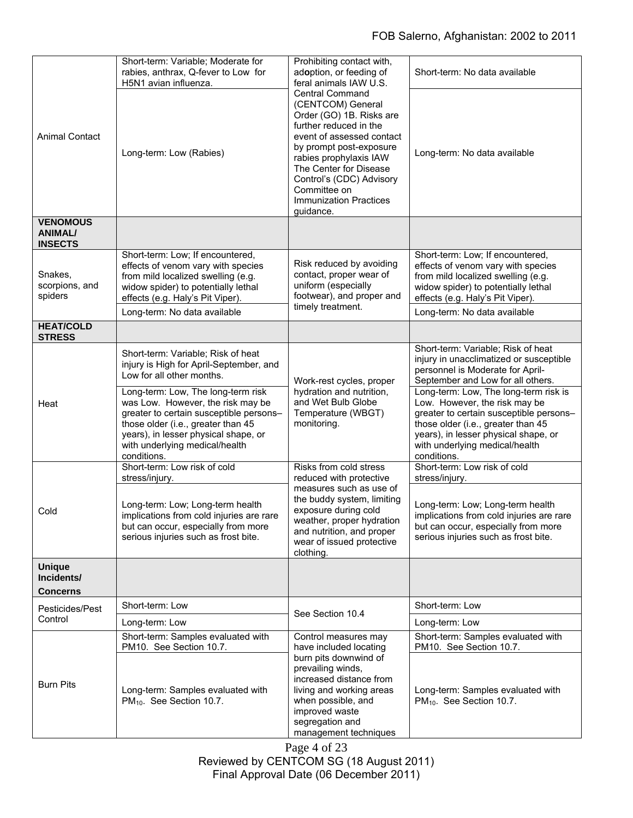| <b>Animal Contact</b>                               | Short-term: Variable; Moderate for<br>rabies, anthrax, Q-fever to Low for<br>H5N1 avian influenza.                                                                                                                                                | Prohibiting contact with,<br>adoption, or feeding of<br>feral animals IAW U.S.<br><b>Central Command</b><br>(CENTCOM) General<br>Order (GO) 1B. Risks are<br>further reduced in the<br>event of assessed contact<br>by prompt post-exposure<br>rabies prophylaxis IAW<br>The Center for Disease<br>Control's (CDC) Advisory<br>Committee on<br><b>Immunization Practices</b><br>quidance. | Short-term: No data available                                                                                                                                                                                                                    |
|-----------------------------------------------------|---------------------------------------------------------------------------------------------------------------------------------------------------------------------------------------------------------------------------------------------------|-------------------------------------------------------------------------------------------------------------------------------------------------------------------------------------------------------------------------------------------------------------------------------------------------------------------------------------------------------------------------------------------|--------------------------------------------------------------------------------------------------------------------------------------------------------------------------------------------------------------------------------------------------|
|                                                     | Long-term: Low (Rabies)                                                                                                                                                                                                                           |                                                                                                                                                                                                                                                                                                                                                                                           | Long-term: No data available                                                                                                                                                                                                                     |
| <b>VENOMOUS</b><br><b>ANIMAL/</b><br><b>INSECTS</b> |                                                                                                                                                                                                                                                   |                                                                                                                                                                                                                                                                                                                                                                                           |                                                                                                                                                                                                                                                  |
| Snakes,<br>scorpions, and<br>spiders                | Short-term: Low; If encountered,<br>effects of venom vary with species<br>from mild localized swelling (e.g.<br>widow spider) to potentially lethal<br>effects (e.g. Haly's Pit Viper).                                                           | Risk reduced by avoiding<br>contact, proper wear of<br>uniform (especially<br>footwear), and proper and<br>timely treatment.                                                                                                                                                                                                                                                              | Short-term: Low; If encountered,<br>effects of venom vary with species<br>from mild localized swelling (e.g.<br>widow spider) to potentially lethal<br>effects (e.g. Haly's Pit Viper).                                                          |
|                                                     | Long-term: No data available                                                                                                                                                                                                                      |                                                                                                                                                                                                                                                                                                                                                                                           | Long-term: No data available                                                                                                                                                                                                                     |
| <b>HEAT/COLD</b><br><b>STRESS</b>                   |                                                                                                                                                                                                                                                   |                                                                                                                                                                                                                                                                                                                                                                                           |                                                                                                                                                                                                                                                  |
| Heat                                                | Short-term: Variable; Risk of heat<br>injury is High for April-September, and<br>Low for all other months.                                                                                                                                        | Work-rest cycles, proper<br>hydration and nutrition,<br>and Wet Bulb Globe<br>Temperature (WBGT)<br>monitoring.                                                                                                                                                                                                                                                                           | Short-term: Variable; Risk of heat<br>injury in unacclimatized or susceptible<br>personnel is Moderate for April-<br>September and Low for all others.                                                                                           |
|                                                     | Long-term: Low, The long-term risk<br>was Low. However, the risk may be<br>greater to certain susceptible persons-<br>those older (i.e., greater than 45<br>years), in lesser physical shape, or<br>with underlying medical/health<br>conditions. |                                                                                                                                                                                                                                                                                                                                                                                           | Long-term: Low, The long-term risk is<br>Low. However, the risk may be<br>greater to certain susceptible persons-<br>those older (i.e., greater than 45<br>years), in lesser physical shape, or<br>with underlying medical/health<br>conditions. |
| Cold                                                | Short-term: Low risk of cold<br>stress/injury.                                                                                                                                                                                                    | Risks from cold stress<br>reduced with protective                                                                                                                                                                                                                                                                                                                                         | Short-term: Low risk of cold<br>stress/injury.                                                                                                                                                                                                   |
|                                                     | Long-term: Low; Long-term health<br>implications from cold injuries are rare<br>but can occur, especially from more<br>serious injuries such as frost bite.                                                                                       | measures such as use of<br>the buddy system, limiting<br>exposure during cold<br>weather, proper hydration<br>and nutrition, and proper<br>wear of issued protective<br>clothing.                                                                                                                                                                                                         | Long-term: Low; Long-term health<br>implications from cold injuries are rare<br>but can occur, especially from more<br>serious injuries such as frost bite.                                                                                      |
| <b>Unique</b><br>Incidents/<br><b>Concerns</b>      |                                                                                                                                                                                                                                                   |                                                                                                                                                                                                                                                                                                                                                                                           |                                                                                                                                                                                                                                                  |
| Pesticides/Pest<br>Control                          | Short-term: Low                                                                                                                                                                                                                                   | See Section 10.4                                                                                                                                                                                                                                                                                                                                                                          | Short-term: Low                                                                                                                                                                                                                                  |
|                                                     | Long-term: Low                                                                                                                                                                                                                                    |                                                                                                                                                                                                                                                                                                                                                                                           | Long-term: Low                                                                                                                                                                                                                                   |
| <b>Burn Pits</b>                                    | Short-term: Samples evaluated with<br>PM10. See Section 10.7.                                                                                                                                                                                     | Control measures may<br>have included locating<br>burn pits downwind of<br>prevailing winds,<br>increased distance from<br>living and working areas<br>when possible, and<br>improved waste<br>segregation and<br>management techniques                                                                                                                                                   | Short-term: Samples evaluated with<br>PM10. See Section 10.7.                                                                                                                                                                                    |
|                                                     | Long-term: Samples evaluated with<br>PM <sub>10</sub> . See Section 10.7.                                                                                                                                                                         |                                                                                                                                                                                                                                                                                                                                                                                           | Long-term: Samples evaluated with<br>PM <sub>10</sub> . See Section 10.7.                                                                                                                                                                        |

Page 4 of 23

Reviewed by CENTCOM SG (18 August 2011)

Final Approval Date (06 December 2011)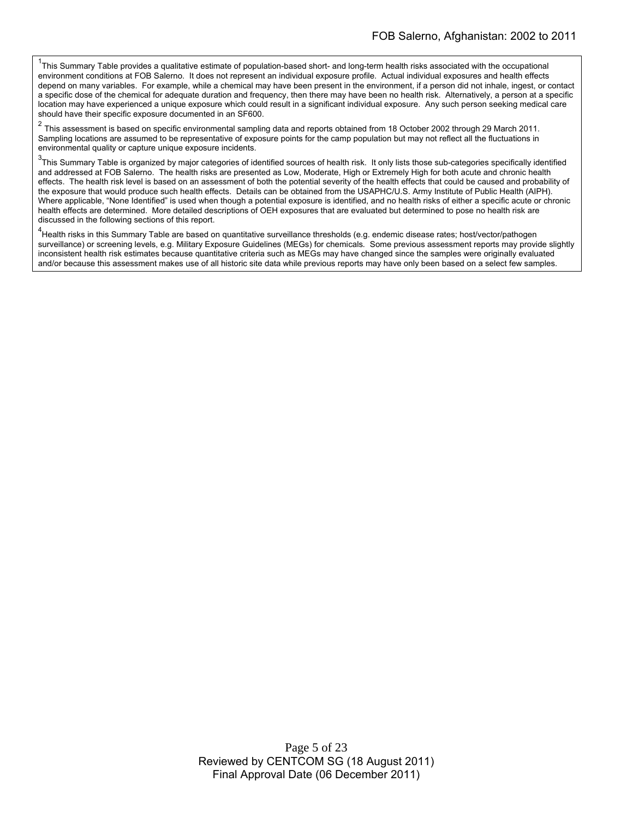<sup>1</sup>This Summary Table provides a qualitative estimate of population-based short- and long-term health risks associated with the occupational environment conditions at FOB Salerno. It does not represent an individual exposure profile. Actual individual exposures and health effects depend on many variables. For example, while a chemical may have been present in the environment, if a person did not inhale, ingest, or contact a specific dose of the chemical for adequate duration and frequency, then there may have been no health risk. Alternatively, a person at a specific location may have experienced a unique exposure which could result in a significant individual exposure. Any such person seeking medical care should have their specific exposure documented in an SF600.

<sup>2</sup> This assessment is based on specific environmental sampling data and reports obtained from 18 October 2002 through 29 March 2011. Sampling locations are assumed to be representative of exposure points for the camp population but may not reflect all the fluctuations in environmental quality or capture unique exposure incidents.

 $3$ This Summary Table is organized by major categories of identified sources of health risk. It only lists those sub-categories specifically identified and addressed at FOB Salerno. The health risks are presented as Low, Moderate, High or Extremely High for both acute and chronic health effects. The health risk level is based on an assessment of both the potential severity of the health effects that could be caused and probability of the exposure that would produce such health effects. Details can be obtained from the USAPHC/U.S. Army Institute of Public Health (AIPH). Where applicable, "None Identified" is used when though a potential exposure is identified, and no health risks of either a specific acute or chronic health effects are determined. More detailed descriptions of OEH exposures that are evaluated but determined to pose no health risk are discussed in the following sections of this report.

<sup>4</sup>Health risks in this Summary Table are based on quantitative surveillance thresholds (e.g. endemic disease rates; host/vector/pathogen surveillance) or screening levels, e.g. Military Exposure Guidelines (MEGs) for chemicals*.* Some previous assessment reports may provide slightly inconsistent health risk estimates because quantitative criteria such as MEGs may have changed since the samples were originally evaluated and/or because this assessment makes use of all historic site data while previous reports may have only been based on a select few samples.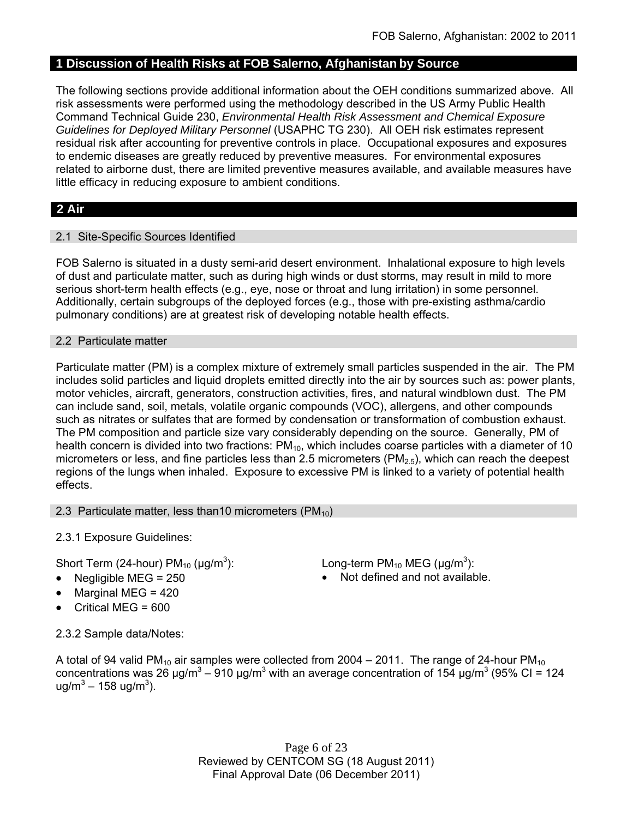# **1 Discussion of Health Risks at FOB Salerno, Afghanistan by Source**

The following sections provide additional information about the OEH conditions summarized above. All risk assessments were performed using the methodology described in the US Army Public Health Command Technical Guide 230, *Environmental Health Risk Assessment and Chemical Exposure Guidelines for Deployed Military Personnel* (USAPHC TG 230). All OEH risk estimates represent residual risk after accounting for preventive controls in place. Occupational exposures and exposures to endemic diseases are greatly reduced by preventive measures. For environmental exposures related to airborne dust, there are limited preventive measures available, and available measures have little efficacy in reducing exposure to ambient conditions.

# **2 Air**

# 2.1 Site-Specific Sources Identified

FOB Salerno is situated in a dusty semi-arid desert environment. Inhalational exposure to high levels of dust and particulate matter, such as during high winds or dust storms, may result in mild to more serious short-term health effects (e.g., eye, nose or throat and lung irritation) in some personnel. Additionally, certain subgroups of the deployed forces (e.g., those with pre-existing asthma/cardio pulmonary conditions) are at greatest risk of developing notable health effects.

# 2.2 Particulate matter

Particulate matter (PM) is a complex mixture of extremely small particles suspended in the air. The PM includes solid particles and liquid droplets emitted directly into the air by sources such as: power plants, motor vehicles, aircraft, generators, construction activities, fires, and natural windblown dust. The PM can include sand, soil, metals, volatile organic compounds (VOC), allergens, and other compounds such as nitrates or sulfates that are formed by condensation or transformation of combustion exhaust. The PM composition and particle size vary considerably depending on the source. Generally, PM of health concern is divided into two fractions:  $PM_{10}$ , which includes coarse particles with a diameter of 10 micrometers or less, and fine particles less than 2.5 micrometers ( $PM<sub>2.5</sub>$ ), which can reach the deepest regions of the lungs when inhaled. Exposure to excessive PM is linked to a variety of potential health effects.

# 2.3 Particulate matter, less than10 micrometers  $(PM_{10})$

2.3.1 Exposure Guidelines:

Short Term (24-hour)  $PM_{10}$  ( $\mu$ g/m<sup>3</sup>):

- 
- Marginal MEG = 420
- Critical MEG = 600

): Long-term PM<sub>10</sub> MEG ( $\mu$ g/m<sup>3</sup>):

Negligible  $MEG = 250$  Not defined and not available.

2.3.2 Sample data/Notes:

A total of 94 valid PM<sub>10</sub> air samples were collected from 2004 – 2011. The range of 24-hour PM<sub>10</sub> concentrations was 26 μg/m<sup>3</sup> – 910 μg/m<sup>3</sup> with an average concentration of 154 μg/m<sup>3</sup> (95% CI = 124 ug/m<sup>3</sup> – 158 ug/m<sup>3</sup>).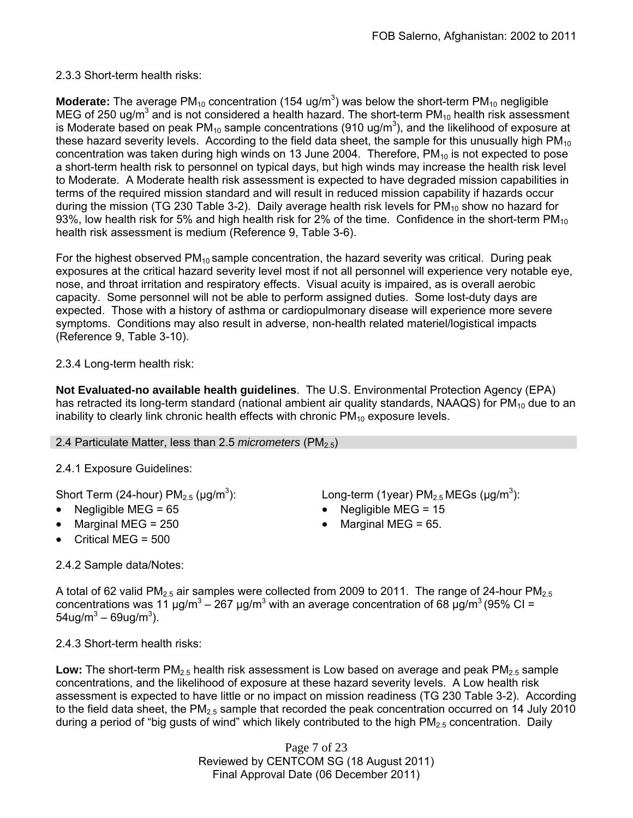# 2.3.3 Short-term health risks:

**Moderate:** The average  $PM_{10}$  concentration (154 ug/m<sup>3</sup>) was below the short-term  $PM_{10}$  negligible MEG of 250 ug/m<sup>3</sup> and is not considered a health hazard. The short-term PM<sub>10</sub> health risk assessment is Moderate based on peak PM<sub>10</sub> sample concentrations (910 ug/m<sup>3</sup>), and the likelihood of exposure at these hazard severity levels. According to the field data sheet, the sample for this unusually high  $PM_{10}$ concentration was taken during high winds on 13 June 2004. Therefore,  $PM_{10}$  is not expected to pose a short-term health risk to personnel on typical days, but high winds may increase the health risk level to Moderate. A Moderate health risk assessment is expected to have degraded mission capabilities in terms of the required mission standard and will result in reduced mission capability if hazards occur during the mission (TG 230 Table 3-2). Daily average health risk levels for  $PM_{10}$  show no hazard for 93%, low health risk for 5% and high health risk for 2% of the time. Confidence in the short-term  $PM_{10}$ health risk assessment is medium (Reference 9, Table 3-6).

For the highest observed  $PM_{10}$  sample concentration, the hazard severity was critical. During peak exposures at the critical hazard severity level most if not all personnel will experience very notable eye, nose, and throat irritation and respiratory effects. Visual acuity is impaired, as is overall aerobic capacity. Some personnel will not be able to perform assigned duties. Some lost-duty days are expected. Those with a history of asthma or cardiopulmonary disease will experience more severe symptoms. Conditions may also result in adverse, non-health related materiel/logistical impacts (Reference 9, Table 3-10).

2.3.4 Long-term health risk:

**Not Evaluated-no available health guidelines**. The U.S. Environmental Protection Agency (EPA) has retracted its long-term standard (national ambient air quality standards, NAAQS) for  $PM_{10}$  due to an inability to clearly link chronic health effects with chronic  $PM_{10}$  exposure levels.

# 2.4 Particulate Matter, less than 2.5 *micrometers* (PM<sub>2.5</sub>)

# 2.4.1 Exposure Guidelines:

Short Term (24-hour)  $PM<sub>2.5</sub>$  ( $\mu$ g/m<sup>3</sup>):

- Negligible MEG = 65 Negligible MEG = 15
- Marginal MEG =  $250$   $\bullet$  Marginal MEG =  $65$ .
- Critical MEG = 500

): Long-term (1year)  $PM_{2.5}$  MEGs ( $\mu$ g/m<sup>3</sup>):

- 
- 

2.4.2 Sample data/Notes:

A total of 62 valid PM<sub>2.5</sub> air samples were collected from 2009 to 2011. The range of 24-hour PM<sub>2.5</sub> concentrations was 11  $\mu$ g/m<sup>3</sup> – 267  $\mu$ g/m<sup>3</sup> with an average concentration of 68  $\mu$ g/m<sup>3</sup> (95% CI =  $54$ ug/m $^3$  – 69ug/m $^3$ ).

2.4.3 Short-term health risks:

Low: The short-term PM<sub>2.5</sub> health risk assessment is Low based on average and peak PM<sub>2.5</sub> sample concentrations, and the likelihood of exposure at these hazard severity levels. A Low health risk assessment is expected to have little or no impact on mission readiness (TG 230 Table 3-2). According to the field data sheet, the  $PM_{2.5}$  sample that recorded the peak concentration occurred on 14 July 2010 during a period of "big gusts of wind" which likely contributed to the high  $PM_{2.5}$  concentration. Daily

> Page 7 of 23 Reviewed by CENTCOM SG (18 August 2011) Final Approval Date (06 December 2011)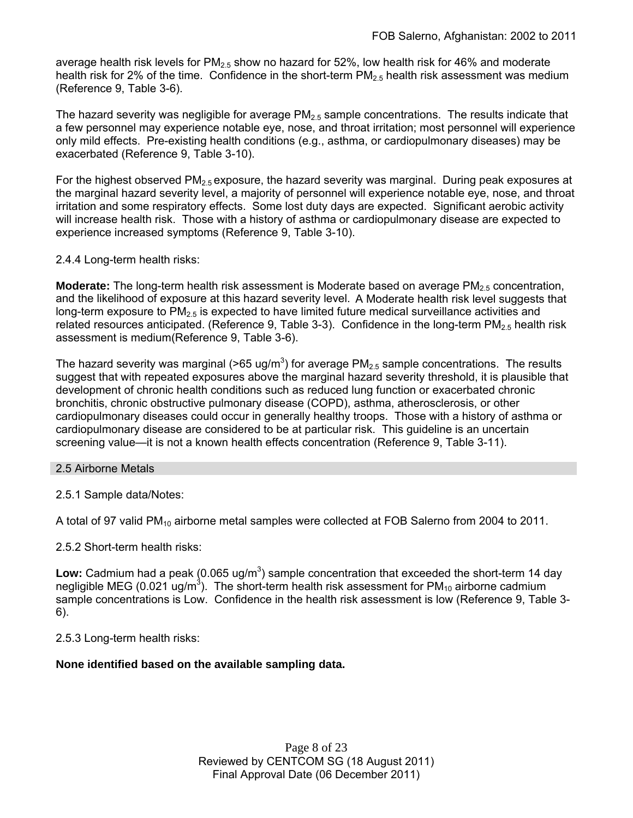average health risk levels for  $PM_{2.5}$  show no hazard for 52%, low health risk for 46% and moderate health risk for 2% of the time. Confidence in the short-term  $PM_{2.5}$  health risk assessment was medium (Reference 9, Table 3-6).

The hazard severity was negligible for average  $PM_{2.5}$  sample concentrations. The results indicate that a few personnel may experience notable eye, nose, and throat irritation; most personnel will experience only mild effects. Pre-existing health conditions (e.g., asthma, or cardiopulmonary diseases) may be exacerbated (Reference 9, Table 3-10).

For the highest observed  $PM<sub>2.5</sub>$  exposure, the hazard severity was marginal. During peak exposures at the marginal hazard severity level, a majority of personnel will experience notable eye, nose, and throat irritation and some respiratory effects. Some lost duty days are expected. Significant aerobic activity will increase health risk. Those with a history of asthma or cardiopulmonary disease are expected to experience increased symptoms (Reference 9, Table 3-10).

2.4.4 Long-term health risks:

**Moderate:** The long-term health risk assessment is Moderate based on average PM<sub>2.5</sub> concentration, and the likelihood of exposure at this hazard severity level. A Moderate health risk level suggests that long-term exposure to  $PM_{2.5}$  is expected to have limited future medical surveillance activities and related resources anticipated. (Reference 9, Table 3-3). Confidence in the long-term  $PM<sub>2.5</sub>$  health risk assessment is medium(Reference 9, Table 3-6).

The hazard severity was marginal (>65 ug/m<sup>3</sup>) for average PM<sub>2.5</sub> sample concentrations. The results suggest that with repeated exposures above the marginal hazard severity threshold, it is plausible that development of chronic health conditions such as reduced lung function or exacerbated chronic bronchitis, chronic obstructive pulmonary disease (COPD), asthma, atherosclerosis, or other cardiopulmonary diseases could occur in generally healthy troops. Those with a history of asthma or cardiopulmonary disease are considered to be at particular risk. This guideline is an uncertain screening value—it is not a known health effects concentration (Reference 9, Table 3-11).

2.5 Airborne Metals

2.5.1 Sample data/Notes:

A total of 97 valid PM<sub>10</sub> airborne metal samples were collected at FOB Salerno from 2004 to 2011.

2.5.2 Short-term health risks:

Low: Cadmium had a peak (0.065 ug/m<sup>3</sup>) sample concentration that exceeded the short-term 14 day negligible MEG (0.021 ug/m<sup>3</sup>). The short-term health risk assessment for PM<sub>10</sub> airborne cadmium sample concentrations is Low. Confidence in the health risk assessment is low (Reference 9, Table 3- 6).

2.5.3 Long-term health risks:

# **None identified based on the available sampling data.**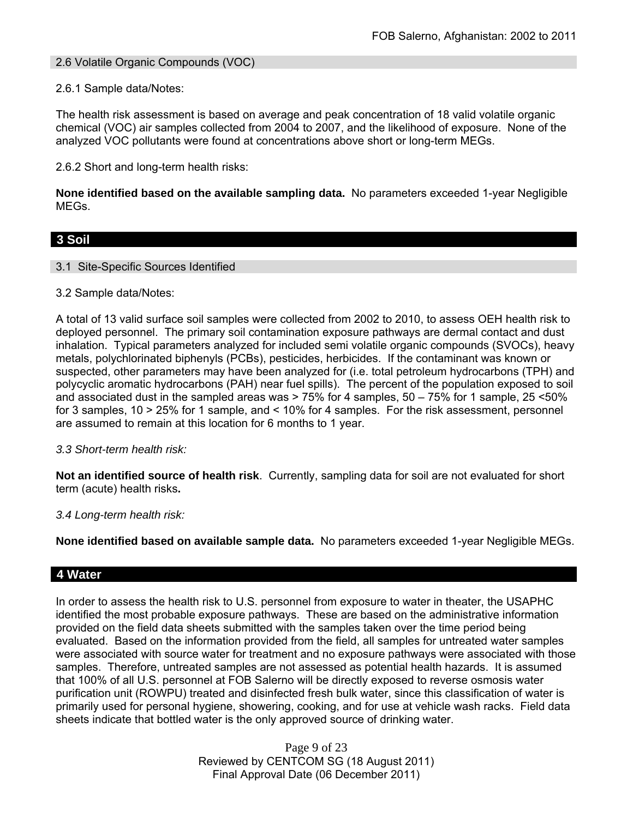# 2.6 Volatile Organic Compounds (VOC)

# 2.6.1 Sample data/Notes:

The health risk assessment is based on average and peak concentration of 18 valid volatile organic chemical (VOC) air samples collected from 2004 to 2007, and the likelihood of exposure. None of the analyzed VOC pollutants were found at concentrations above short or long-term MEGs.

2.6.2 Short and long-term health risks:

**None identified based on the available sampling data.** No parameters exceeded 1-year Negligible MEGs.

# **3 Soil**

# 3.1 Site-Specific Sources Identified

# 3.2 Sample data/Notes:

A total of 13 valid surface soil samples were collected from 2002 to 2010, to assess OEH health risk to deployed personnel. The primary soil contamination exposure pathways are dermal contact and dust inhalation. Typical parameters analyzed for included semi volatile organic compounds (SVOCs), heavy metals, polychlorinated biphenyls (PCBs), pesticides, herbicides. If the contaminant was known or suspected, other parameters may have been analyzed for (i.e. total petroleum hydrocarbons (TPH) and polycyclic aromatic hydrocarbons (PAH) near fuel spills). The percent of the population exposed to soil and associated dust in the sampled areas was > 75% for 4 samples, 50 – 75% for 1 sample, 25 <50% for 3 samples, 10 > 25% for 1 sample, and < 10% for 4 samples. For the risk assessment, personnel are assumed to remain at this location for 6 months to 1 year.

# *3.3 Short-term health risk:*

**Not an identified source of health risk**. Currently, sampling data for soil are not evaluated for short term (acute) health risks**.**

# *3.4 Long-term health risk:*

**None identified based on available sample data.** No parameters exceeded 1-year Negligible MEGs.

# **4 Water**

In order to assess the health risk to U.S. personnel from exposure to water in theater, the USAPHC identified the most probable exposure pathways. These are based on the administrative information provided on the field data sheets submitted with the samples taken over the time period being evaluated. Based on the information provided from the field, all samples for untreated water samples were associated with source water for treatment and no exposure pathways were associated with those samples. Therefore, untreated samples are not assessed as potential health hazards. It is assumed that 100% of all U.S. personnel at FOB Salerno will be directly exposed to reverse osmosis water purification unit (ROWPU) treated and disinfected fresh bulk water, since this classification of water is primarily used for personal hygiene, showering, cooking, and for use at vehicle wash racks. Field data sheets indicate that bottled water is the only approved source of drinking water.

> Page 9 of 23 Reviewed by CENTCOM SG (18 August 2011) Final Approval Date (06 December 2011)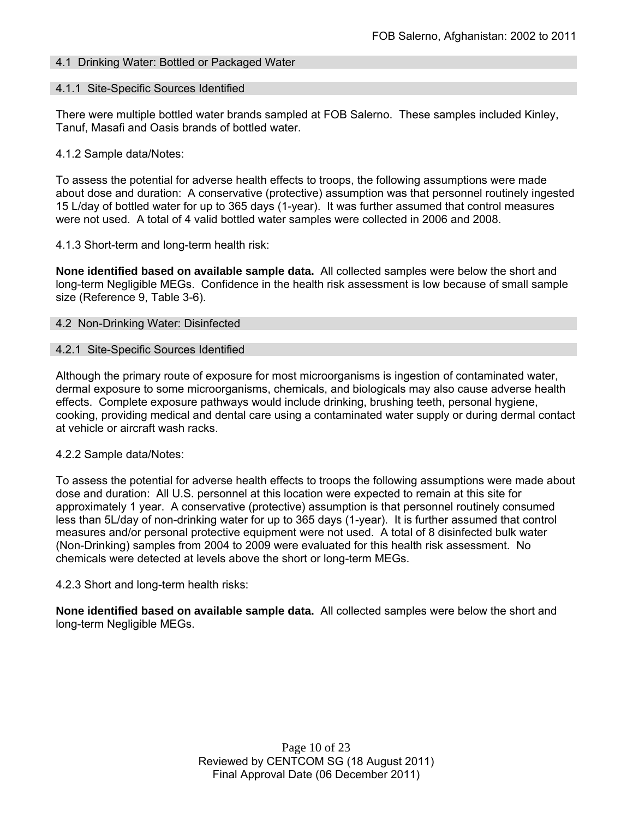# 4.1 Drinking Water: Bottled or Packaged Water

# 4.1.1 Site-Specific Sources Identified

There were multiple bottled water brands sampled at FOB Salerno. These samples included Kinley, Tanuf, Masafi and Oasis brands of bottled water.

# 4.1.2 Sample data/Notes:

To assess the potential for adverse health effects to troops, the following assumptions were made about dose and duration: A conservative (protective) assumption was that personnel routinely ingested 15 L/day of bottled water for up to 365 days (1-year). It was further assumed that control measures were not used. A total of 4 valid bottled water samples were collected in 2006 and 2008.

#### 4.1.3 Short-term and long-term health risk:

**None identified based on available sample data.** All collected samples were below the short and long-term Negligible MEGs. Confidence in the health risk assessment is low because of small sample size (Reference 9, Table 3-6).

#### 4.2 Non-Drinking Water: Disinfected

#### 4.2.1 Site-Specific Sources Identified

Although the primary route of exposure for most microorganisms is ingestion of contaminated water, dermal exposure to some microorganisms, chemicals, and biologicals may also cause adverse health effects. Complete exposure pathways would include drinking, brushing teeth, personal hygiene, cooking, providing medical and dental care using a contaminated water supply or during dermal contact at vehicle or aircraft wash racks.

# 4.2.2 Sample data/Notes:

To assess the potential for adverse health effects to troops the following assumptions were made about dose and duration: All U.S. personnel at this location were expected to remain at this site for approximately 1 year. A conservative (protective) assumption is that personnel routinely consumed less than 5L/day of non-drinking water for up to 365 days (1-year). It is further assumed that control measures and/or personal protective equipment were not used. A total of 8 disinfected bulk water (Non-Drinking) samples from 2004 to 2009 were evaluated for this health risk assessment. No chemicals were detected at levels above the short or long-term MEGs.

# 4.2.3 Short and long-term health risks:

**None identified based on available sample data.** All collected samples were below the short and long-term Negligible MEGs.

> Page 10 of 23 Reviewed by CENTCOM SG (18 August 2011) Final Approval Date (06 December 2011)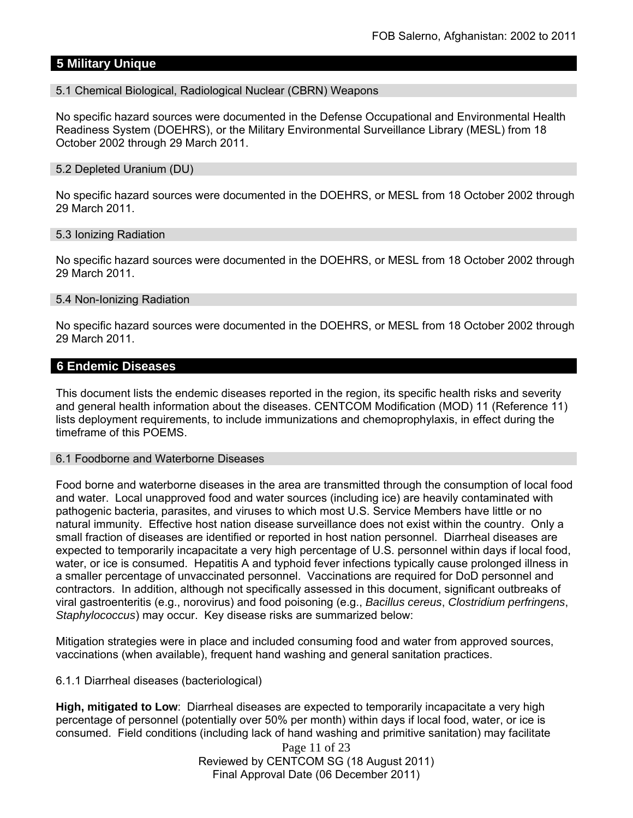# **5 Military Unique**

# 5.1 Chemical Biological, Radiological Nuclear (CBRN) Weapons

No specific hazard sources were documented in the Defense Occupational and Environmental Health Readiness System (DOEHRS), or the Military Environmental Surveillance Library (MESL) from 18 October 2002 through 29 March 2011.

#### 5.2 Depleted Uranium (DU)

No specific hazard sources were documented in the DOEHRS, or MESL from 18 October 2002 through 29 March 2011.

#### 5.3 Ionizing Radiation

No specific hazard sources were documented in the DOEHRS, or MESL from 18 October 2002 through 29 March 2011.

#### 5.4 Non-Ionizing Radiation

No specific hazard sources were documented in the DOEHRS, or MESL from 18 October 2002 through 29 March 2011.

# **6 Endemic Diseases**

This document lists the endemic diseases reported in the region, its specific health risks and severity and general health information about the diseases. CENTCOM Modification (MOD) 11 (Reference 11) lists deployment requirements, to include immunizations and chemoprophylaxis, in effect during the timeframe of this POEMS.

#### 6.1 Foodborne and Waterborne Diseases

Food borne and waterborne diseases in the area are transmitted through the consumption of local food and water. Local unapproved food and water sources (including ice) are heavily contaminated with pathogenic bacteria, parasites, and viruses to which most U.S. Service Members have little or no natural immunity. Effective host nation disease surveillance does not exist within the country. Only a small fraction of diseases are identified or reported in host nation personnel. Diarrheal diseases are expected to temporarily incapacitate a very high percentage of U.S. personnel within days if local food, water, or ice is consumed. Hepatitis A and typhoid fever infections typically cause prolonged illness in a smaller percentage of unvaccinated personnel. Vaccinations are required for DoD personnel and contractors. In addition, although not specifically assessed in this document, significant outbreaks of viral gastroenteritis (e.g., norovirus) and food poisoning (e.g., *Bacillus cereus*, *Clostridium perfringens*, *Staphylococcus*) may occur. Key disease risks are summarized below:

Mitigation strategies were in place and included consuming food and water from approved sources, vaccinations (when available), frequent hand washing and general sanitation practices.

# 6.1.1 Diarrheal diseases (bacteriological)

**High, mitigated to Low**: Diarrheal diseases are expected to temporarily incapacitate a very high percentage of personnel (potentially over 50% per month) within days if local food, water, or ice is consumed. Field conditions (including lack of hand washing and primitive sanitation) may facilitate

> Page 11 of 23 Reviewed by CENTCOM SG (18 August 2011) Final Approval Date (06 December 2011)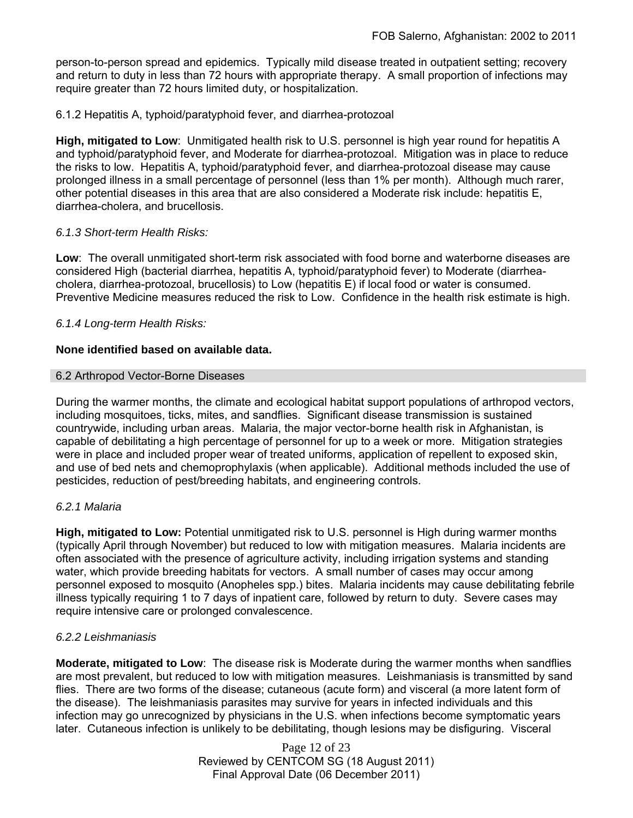person-to-person spread and epidemics. Typically mild disease treated in outpatient setting; recovery and return to duty in less than 72 hours with appropriate therapy. A small proportion of infections may require greater than 72 hours limited duty, or hospitalization.

# 6.1.2 Hepatitis A, typhoid/paratyphoid fever, and diarrhea-protozoal

**High, mitigated to Low**: Unmitigated health risk to U.S. personnel is high year round for hepatitis A and typhoid/paratyphoid fever, and Moderate for diarrhea-protozoal. Mitigation was in place to reduce the risks to low. Hepatitis A, typhoid/paratyphoid fever, and diarrhea-protozoal disease may cause prolonged illness in a small percentage of personnel (less than 1% per month). Although much rarer, other potential diseases in this area that are also considered a Moderate risk include: hepatitis E, diarrhea-cholera, and brucellosis.

# *6.1.3 Short-term Health Risks:*

**Low**: The overall unmitigated short-term risk associated with food borne and waterborne diseases are considered High (bacterial diarrhea, hepatitis A, typhoid/paratyphoid fever) to Moderate (diarrheacholera, diarrhea-protozoal, brucellosis) to Low (hepatitis E) if local food or water is consumed. Preventive Medicine measures reduced the risk to Low. Confidence in the health risk estimate is high.

# *6.1.4 Long-term Health Risks:*

# **None identified based on available data.**

# 6.2 Arthropod Vector-Borne Diseases

During the warmer months, the climate and ecological habitat support populations of arthropod vectors, including mosquitoes, ticks, mites, and sandflies. Significant disease transmission is sustained countrywide, including urban areas. Malaria, the major vector-borne health risk in Afghanistan, is capable of debilitating a high percentage of personnel for up to a week or more. Mitigation strategies were in place and included proper wear of treated uniforms, application of repellent to exposed skin, and use of bed nets and chemoprophylaxis (when applicable). Additional methods included the use of pesticides, reduction of pest/breeding habitats, and engineering controls.

# *6.2.1 Malaria*

**High, mitigated to Low:** Potential unmitigated risk to U.S. personnel is High during warmer months (typically April through November) but reduced to low with mitigation measures. Malaria incidents are often associated with the presence of agriculture activity, including irrigation systems and standing water, which provide breeding habitats for vectors. A small number of cases may occur among personnel exposed to mosquito (Anopheles spp.) bites. Malaria incidents may cause debilitating febrile illness typically requiring 1 to 7 days of inpatient care, followed by return to duty. Severe cases may require intensive care or prolonged convalescence.

# *6.2.2 Leishmaniasis*

**Moderate, mitigated to Low**: The disease risk is Moderate during the warmer months when sandflies are most prevalent, but reduced to low with mitigation measures. Leishmaniasis is transmitted by sand flies. There are two forms of the disease; cutaneous (acute form) and visceral (a more latent form of the disease). The leishmaniasis parasites may survive for years in infected individuals and this infection may go unrecognized by physicians in the U.S. when infections become symptomatic years later. Cutaneous infection is unlikely to be debilitating, though lesions may be disfiguring. Visceral

> Page 12 of 23 Reviewed by CENTCOM SG (18 August 2011) Final Approval Date (06 December 2011)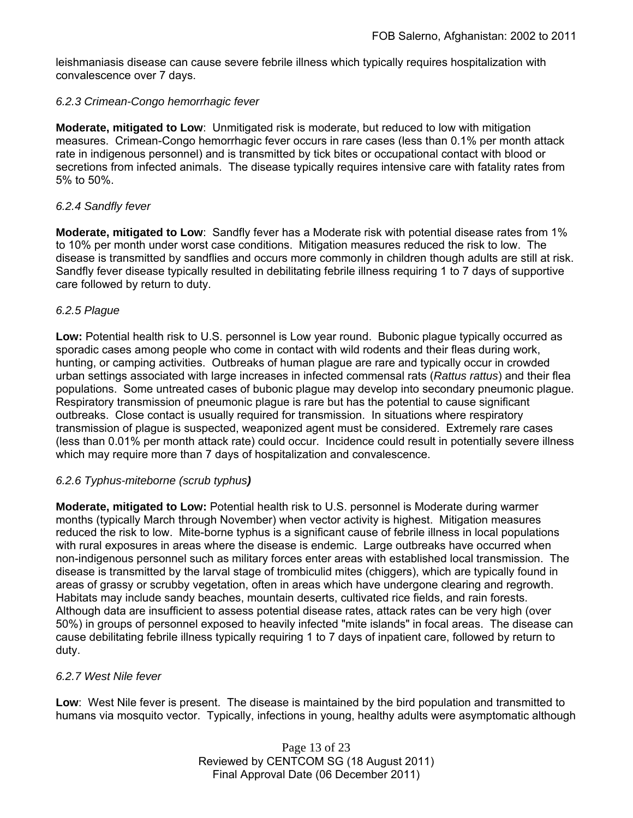leishmaniasis disease can cause severe febrile illness which typically requires hospitalization with convalescence over 7 days.

# *6.2.3 Crimean-Congo hemorrhagic fever*

**Moderate, mitigated to Low**: Unmitigated risk is moderate, but reduced to low with mitigation measures. Crimean-Congo hemorrhagic fever occurs in rare cases (less than 0.1% per month attack rate in indigenous personnel) and is transmitted by tick bites or occupational contact with blood or secretions from infected animals. The disease typically requires intensive care with fatality rates from 5% to 50%.

# *6.2.4 Sandfly fever*

**Moderate, mitigated to Low**: Sandfly fever has a Moderate risk with potential disease rates from 1% to 10% per month under worst case conditions. Mitigation measures reduced the risk to low. The disease is transmitted by sandflies and occurs more commonly in children though adults are still at risk. Sandfly fever disease typically resulted in debilitating febrile illness requiring 1 to 7 days of supportive care followed by return to duty.

# *6.2.5 Plague*

**Low:** Potential health risk to U.S. personnel is Low year round. Bubonic plague typically occurred as sporadic cases among people who come in contact with wild rodents and their fleas during work, hunting, or camping activities. Outbreaks of human plague are rare and typically occur in crowded urban settings associated with large increases in infected commensal rats (*Rattus rattus*) and their flea populations. Some untreated cases of bubonic plague may develop into secondary pneumonic plague. Respiratory transmission of pneumonic plague is rare but has the potential to cause significant outbreaks. Close contact is usually required for transmission. In situations where respiratory transmission of plague is suspected, weaponized agent must be considered. Extremely rare cases (less than 0.01% per month attack rate) could occur. Incidence could result in potentially severe illness which may require more than 7 days of hospitalization and convalescence.

# *6.2.6 Typhus-miteborne (scrub typhus)*

**Moderate, mitigated to Low:** Potential health risk to U.S. personnel is Moderate during warmer months (typically March through November) when vector activity is highest. Mitigation measures reduced the risk to low. Mite-borne typhus is a significant cause of febrile illness in local populations with rural exposures in areas where the disease is endemic. Large outbreaks have occurred when non-indigenous personnel such as military forces enter areas with established local transmission. The disease is transmitted by the larval stage of trombiculid mites (chiggers), which are typically found in areas of grassy or scrubby vegetation, often in areas which have undergone clearing and regrowth. Habitats may include sandy beaches, mountain deserts, cultivated rice fields, and rain forests. Although data are insufficient to assess potential disease rates, attack rates can be very high (over 50%) in groups of personnel exposed to heavily infected "mite islands" in focal areas. The disease can cause debilitating febrile illness typically requiring 1 to 7 days of inpatient care, followed by return to duty.

# *6.2.7 West Nile fever*

**Low**: West Nile fever is present. The disease is maintained by the bird population and transmitted to humans via mosquito vector. Typically, infections in young, healthy adults were asymptomatic although

> Page 13 of 23 Reviewed by CENTCOM SG (18 August 2011) Final Approval Date (06 December 2011)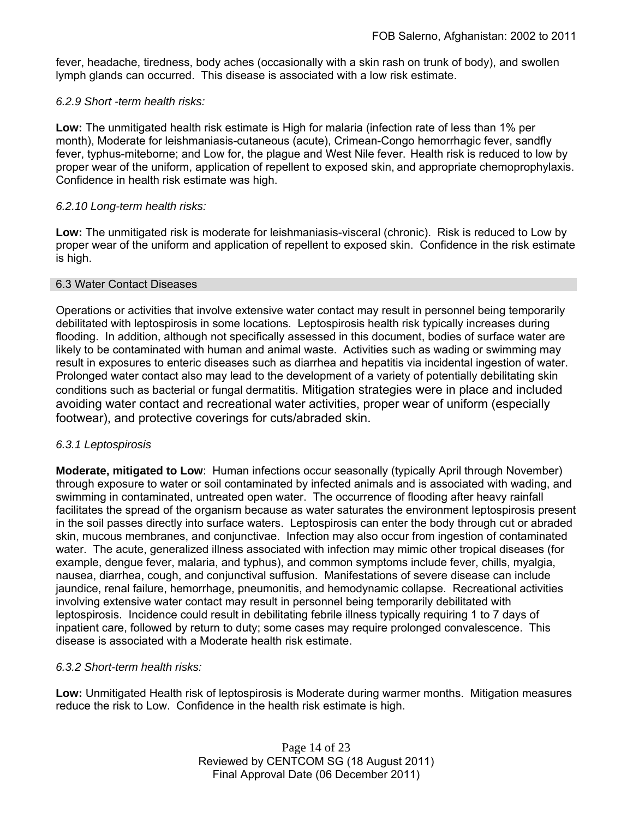fever, headache, tiredness, body aches (occasionally with a skin rash on trunk of body), and swollen lymph glands can occurred. This disease is associated with a low risk estimate.

# *6.2.9 Short -term health risks:*

**Low:** The unmitigated health risk estimate is High for malaria (infection rate of less than 1% per month), Moderate for leishmaniasis-cutaneous (acute), Crimean-Congo hemorrhagic fever, sandfly fever, typhus-miteborne; and Low for, the plague and West Nile fever. Health risk is reduced to low by proper wear of the uniform, application of repellent to exposed skin, and appropriate chemoprophylaxis. Confidence in health risk estimate was high.

# *6.2.10 Long-term health risks:*

**Low:** The unmitigated risk is moderate for leishmaniasis-visceral (chronic). Risk is reduced to Low by proper wear of the uniform and application of repellent to exposed skin. Confidence in the risk estimate is high.

# 6.3 Water Contact Diseases

Operations or activities that involve extensive water contact may result in personnel being temporarily debilitated with leptospirosis in some locations. Leptospirosis health risk typically increases during flooding. In addition, although not specifically assessed in this document, bodies of surface water are likely to be contaminated with human and animal waste. Activities such as wading or swimming may result in exposures to enteric diseases such as diarrhea and hepatitis via incidental ingestion of water. Prolonged water contact also may lead to the development of a variety of potentially debilitating skin conditions such as bacterial or fungal dermatitis. Mitigation strategies were in place and included avoiding water contact and recreational water activities, proper wear of uniform (especially footwear), and protective coverings for cuts/abraded skin.

# *6.3.1 Leptospirosis*

**Moderate, mitigated to Low**: Human infections occur seasonally (typically April through November) through exposure to water or soil contaminated by infected animals and is associated with wading, and swimming in contaminated, untreated open water. The occurrence of flooding after heavy rainfall facilitates the spread of the organism because as water saturates the environment leptospirosis present in the soil passes directly into surface waters. Leptospirosis can enter the body through cut or abraded skin, mucous membranes, and conjunctivae. Infection may also occur from ingestion of contaminated water. The acute, generalized illness associated with infection may mimic other tropical diseases (for example, dengue fever, malaria, and typhus), and common symptoms include fever, chills, myalgia, nausea, diarrhea, cough, and conjunctival suffusion. Manifestations of severe disease can include jaundice, renal failure, hemorrhage, pneumonitis, and hemodynamic collapse. Recreational activities involving extensive water contact may result in personnel being temporarily debilitated with leptospirosis. Incidence could result in debilitating febrile illness typically requiring 1 to 7 days of inpatient care, followed by return to duty; some cases may require prolonged convalescence. This disease is associated with a Moderate health risk estimate.

# *6.3.2 Short-term health risks:*

**Low:** Unmitigated Health risk of leptospirosis is Moderate during warmer months. Mitigation measures reduce the risk to Low. Confidence in the health risk estimate is high.

> Page 14 of 23 Reviewed by CENTCOM SG (18 August 2011) Final Approval Date (06 December 2011)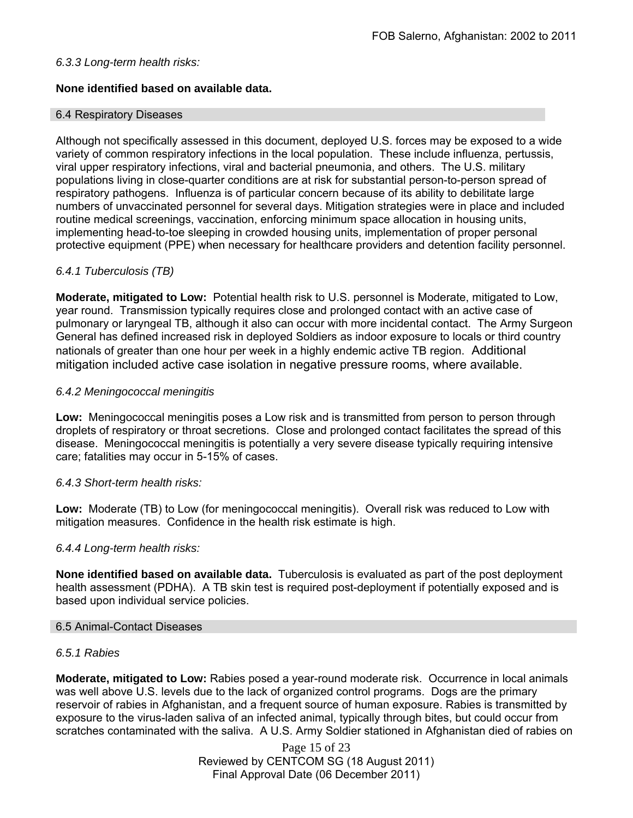# *6.3.3 Long-term health risks:*

# **None identified based on available data.**

# 6.4 Respiratory Diseases

Although not specifically assessed in this document, deployed U.S. forces may be exposed to a wide variety of common respiratory infections in the local population. These include influenza, pertussis, viral upper respiratory infections, viral and bacterial pneumonia, and others. The U.S. military populations living in close-quarter conditions are at risk for substantial person-to-person spread of respiratory pathogens. Influenza is of particular concern because of its ability to debilitate large numbers of unvaccinated personnel for several days. Mitigation strategies were in place and included routine medical screenings, vaccination, enforcing minimum space allocation in housing units, implementing head-to-toe sleeping in crowded housing units, implementation of proper personal protective equipment (PPE) when necessary for healthcare providers and detention facility personnel.

# *6.4.1 Tuberculosis (TB)*

**Moderate, mitigated to Low:** Potential health risk to U.S. personnel is Moderate, mitigated to Low, year round. Transmission typically requires close and prolonged contact with an active case of pulmonary or laryngeal TB, although it also can occur with more incidental contact. The Army Surgeon General has defined increased risk in deployed Soldiers as indoor exposure to locals or third country nationals of greater than one hour per week in a highly endemic active TB region. Additional mitigation included active case isolation in negative pressure rooms, where available.

# *6.4.2 Meningococcal meningitis*

**Low:** Meningococcal meningitis poses a Low risk and is transmitted from person to person through droplets of respiratory or throat secretions. Close and prolonged contact facilitates the spread of this disease. Meningococcal meningitis is potentially a very severe disease typically requiring intensive care; fatalities may occur in 5-15% of cases.

# *6.4.3 Short-term health risks:*

**Low:** Moderate (TB) to Low (for meningococcal meningitis). Overall risk was reduced to Low with mitigation measures. Confidence in the health risk estimate is high.

# *6.4.4 Long-term health risks:*

**None identified based on available data.** Tuberculosis is evaluated as part of the post deployment health assessment (PDHA). A TB skin test is required post-deployment if potentially exposed and is based upon individual service policies.

# 6.5 Animal-Contact Diseases

# *6.5.1 Rabies*

**Moderate, mitigated to Low:** Rabies posed a year-round moderate risk. Occurrence in local animals was well above U.S. levels due to the lack of organized control programs. Dogs are the primary reservoir of rabies in Afghanistan, and a frequent source of human exposure. Rabies is transmitted by exposure to the virus-laden saliva of an infected animal, typically through bites, but could occur from scratches contaminated with the saliva. A U.S. Army Soldier stationed in Afghanistan died of rabies on

> Page 15 of 23 Reviewed by CENTCOM SG (18 August 2011) Final Approval Date (06 December 2011)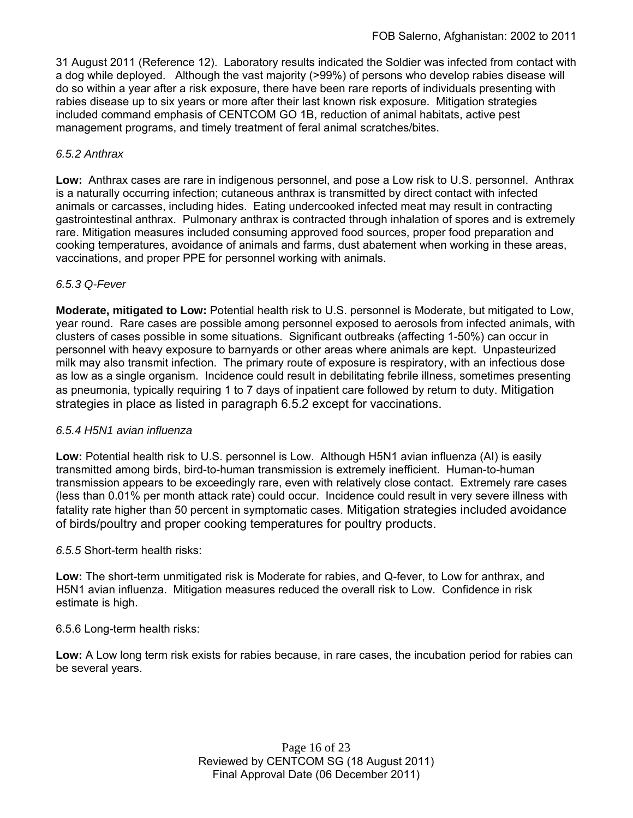31 August 2011 (Reference 12). Laboratory results indicated the Soldier was infected from contact with a dog while deployed. Although the vast majority (>99%) of persons who develop rabies disease will do so within a year after a risk exposure, there have been rare reports of individuals presenting with rabies disease up to six years or more after their last known risk exposure. Mitigation strategies included command emphasis of CENTCOM GO 1B, reduction of animal habitats, active pest management programs, and timely treatment of feral animal scratches/bites.

# *6.5.2 Anthrax*

**Low:** Anthrax cases are rare in indigenous personnel, and pose a Low risk to U.S. personnel. Anthrax is a naturally occurring infection; cutaneous anthrax is transmitted by direct contact with infected animals or carcasses, including hides. Eating undercooked infected meat may result in contracting gastrointestinal anthrax. Pulmonary anthrax is contracted through inhalation of spores and is extremely rare. Mitigation measures included consuming approved food sources, proper food preparation and cooking temperatures, avoidance of animals and farms, dust abatement when working in these areas, vaccinations, and proper PPE for personnel working with animals.

# *6.5.3 Q-Fever*

**Moderate, mitigated to Low:** Potential health risk to U.S. personnel is Moderate, but mitigated to Low, year round. Rare cases are possible among personnel exposed to aerosols from infected animals, with clusters of cases possible in some situations. Significant outbreaks (affecting 1-50%) can occur in personnel with heavy exposure to barnyards or other areas where animals are kept. Unpasteurized milk may also transmit infection. The primary route of exposure is respiratory, with an infectious dose as low as a single organism. Incidence could result in debilitating febrile illness, sometimes presenting as pneumonia, typically requiring 1 to 7 days of inpatient care followed by return to duty. Mitigation strategies in place as listed in paragraph 6.5.2 except for vaccinations.

# *6.5.4 H5N1 avian influenza*

**Low:** Potential health risk to U.S. personnel is Low. Although H5N1 avian influenza (AI) is easily transmitted among birds, bird-to-human transmission is extremely inefficient. Human-to-human transmission appears to be exceedingly rare, even with relatively close contact. Extremely rare cases (less than 0.01% per month attack rate) could occur. Incidence could result in very severe illness with fatality rate higher than 50 percent in symptomatic cases. Mitigation strategies included avoidance of birds/poultry and proper cooking temperatures for poultry products.

# *6.5.5* Short-term health risks:

**Low:** The short-term unmitigated risk is Moderate for rabies, and Q-fever, to Low for anthrax, and H5N1 avian influenza. Mitigation measures reduced the overall risk to Low.Confidence in risk estimate is high.

6.5.6 Long-term health risks:

**Low:** A Low long term risk exists for rabies because, in rare cases, the incubation period for rabies can be several years.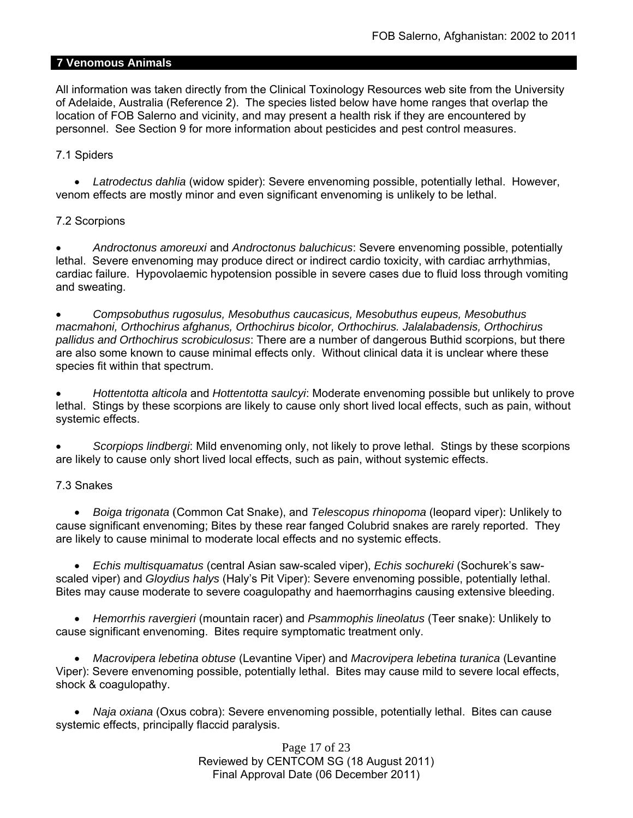# **7 Venomous Animals**

All information was taken directly from the Clinical Toxinology Resources web site from the University of Adelaide, Australia (Reference 2). The species listed below have home ranges that overlap the location of FOB Salerno and vicinity, and may present a health risk if they are encountered by personnel. See Section 9 for more information about pesticides and pest control measures.

# 7.1 Spiders

 *Latrodectus dahlia* (widow spider): Severe envenoming possible, potentially lethal. However, venom effects are mostly minor and even significant envenoming is unlikely to be lethal.

# 7.2 Scorpions

 *Androctonus amoreuxi* and *Androctonus baluchicus*: Severe envenoming possible, potentially lethal. Severe envenoming may produce direct or indirect cardio toxicity, with cardiac arrhythmias, cardiac failure. Hypovolaemic hypotension possible in severe cases due to fluid loss through vomiting and sweating.

 *Compsobuthus rugosulus, Mesobuthus caucasicus, Mesobuthus eupeus, Mesobuthus macmahoni, Orthochirus afghanus, Orthochirus bicolor, Orthochirus. Jalalabadensis, Orthochirus pallidus and Orthochirus scrobiculosus*: There are a number of dangerous Buthid scorpions, but there are also some known to cause minimal effects only. Without clinical data it is unclear where these species fit within that spectrum.

 *Hottentotta alticola* and *Hottentotta saulcyi*: Moderate envenoming possible but unlikely to prove lethal. Stings by these scorpions are likely to cause only short lived local effects, such as pain, without systemic effects.

 *Scorpiops lindbergi*: Mild envenoming only, not likely to prove lethal. Stings by these scorpions are likely to cause only short lived local effects, such as pain, without systemic effects.

# 7.3 Snakes

 *Boiga trigonata* (Common Cat Snake), and *Telescopus rhinopoma* (leopard viper): Unlikely to cause significant envenoming; Bites by these rear fanged Colubrid snakes are rarely reported. They are likely to cause minimal to moderate local effects and no systemic effects.

 *Echis multisquamatus* (central Asian saw-scaled viper), *Echis sochureki* (Sochurek's sawscaled viper) and *Gloydius halys* (Haly's Pit Viper): Severe envenoming possible, potentially lethal. Bites may cause moderate to severe coagulopathy and haemorrhagins causing extensive bleeding.

 *Hemorrhis ravergieri* (mountain racer) and *Psammophis lineolatus* (Teer snake): Unlikely to cause significant envenoming. Bites require symptomatic treatment only.

 *Macrovipera lebetina obtuse* (Levantine Viper) and *Macrovipera lebetina turanica* (Levantine Viper): Severe envenoming possible, potentially lethal. Bites may cause mild to severe local effects, shock & coagulopathy.

 *Naja oxiana* (Oxus cobra): Severe envenoming possible, potentially lethal. Bites can cause systemic effects, principally flaccid paralysis.

> Page 17 of 23 Reviewed by CENTCOM SG (18 August 2011) Final Approval Date (06 December 2011)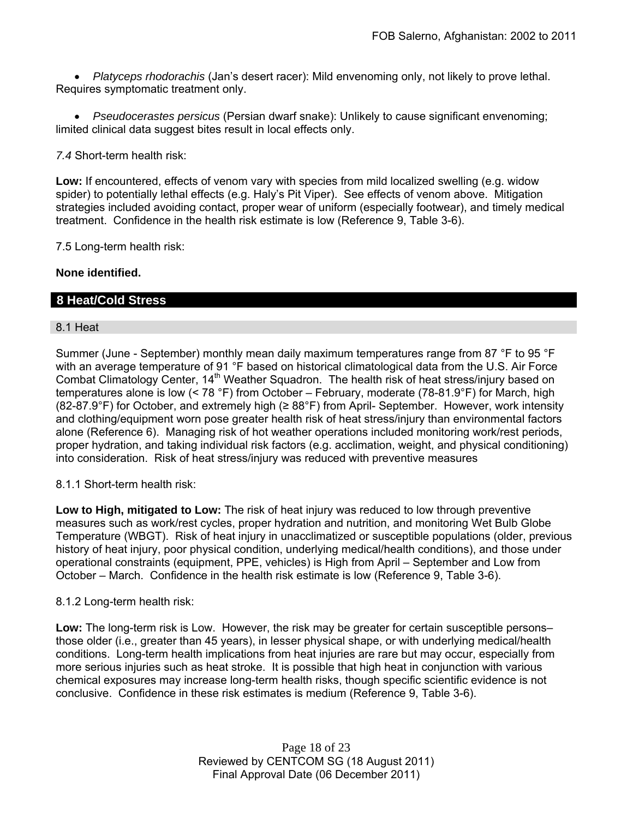*Platyceps rhodorachis* (Jan's desert racer): Mild envenoming only, not likely to prove lethal. Requires symptomatic treatment only.

 *Pseudocerastes persicus* (Persian dwarf snake): Unlikely to cause significant envenoming; limited clinical data suggest bites result in local effects only.

*7.4* Short-term health risk:

**Low:** If encountered, effects of venom vary with species from mild localized swelling (e.g. widow spider) to potentially lethal effects (e.g. Haly's Pit Viper). See effects of venom above. Mitigation strategies included avoiding contact, proper wear of uniform (especially footwear), and timely medical treatment. Confidence in the health risk estimate is low (Reference 9, Table 3-6).

7.5 Long-term health risk:

# **None identified.**

# **8 Heat/Cold Stress**

# 8.1 Heat

Summer (June - September) monthly mean daily maximum temperatures range from 87 °F to 95 °F with an average temperature of 91 °F based on historical climatological data from the U.S. Air Force Combat Climatology Center, 14<sup>th</sup> Weather Squadron. The health risk of heat stress/injury based on temperatures alone is low (< 78 °F) from October – February, moderate (78-81.9°F) for March, high (82-87.9°F) for October, and extremely high ( $\geq$  88°F) from April- September. However, work intensity and clothing/equipment worn pose greater health risk of heat stress/injury than environmental factors alone (Reference 6). Managing risk of hot weather operations included monitoring work/rest periods, proper hydration, and taking individual risk factors (e.g. acclimation, weight, and physical conditioning) into consideration. Risk of heat stress/injury was reduced with preventive measures

8.1.1 Short-term health risk:

**Low to High, mitigated to Low:** The risk of heat injury was reduced to low through preventive measures such as work/rest cycles, proper hydration and nutrition, and monitoring Wet Bulb Globe Temperature (WBGT). Risk of heat injury in unacclimatized or susceptible populations (older, previous history of heat injury, poor physical condition, underlying medical/health conditions), and those under operational constraints (equipment, PPE, vehicles) is High from April – September and Low from October – March. Confidence in the health risk estimate is low (Reference 9, Table 3-6).

# 8.1.2 Long-term health risk:

**Low:** The long-term risk is Low. However, the risk may be greater for certain susceptible persons– those older (i.e., greater than 45 years), in lesser physical shape, or with underlying medical/health conditions. Long-term health implications from heat injuries are rare but may occur, especially from more serious injuries such as heat stroke. It is possible that high heat in conjunction with various chemical exposures may increase long-term health risks, though specific scientific evidence is not conclusive. Confidence in these risk estimates is medium (Reference 9, Table 3-6).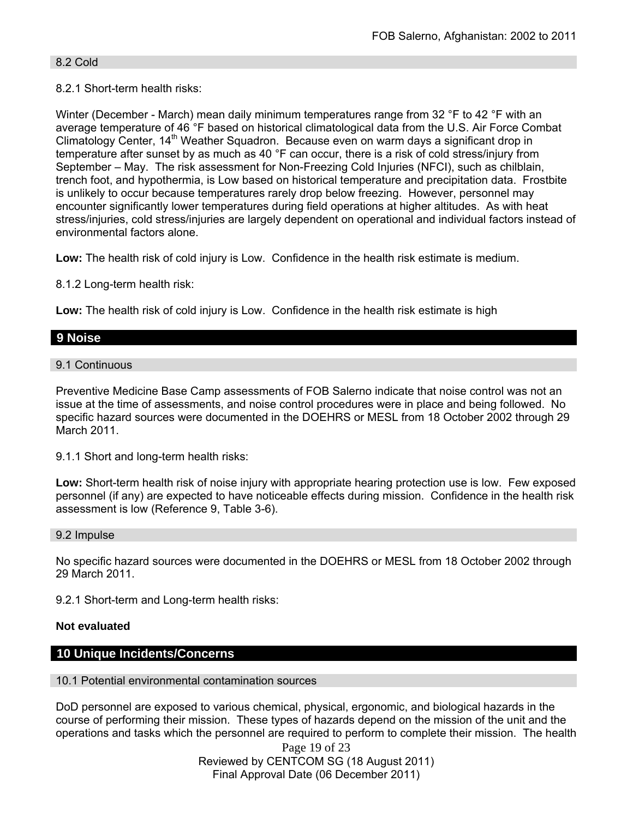# 8.2 Cold

# 8.2.1 Short-term health risks:

Winter (December - March) mean daily minimum temperatures range from 32 °F to 42 °F with an average temperature of 46 °F based on historical climatological data from the U.S. Air Force Combat Climatology Center, 14<sup>th</sup> Weather Squadron. Because even on warm days a significant drop in temperature after sunset by as much as 40 °F can occur, there is a risk of cold stress/injury from September – May. The risk assessment for Non-Freezing Cold Injuries (NFCI), such as chilblain, trench foot, and hypothermia, is Low based on historical temperature and precipitation data. Frostbite is unlikely to occur because temperatures rarely drop below freezing. However, personnel may encounter significantly lower temperatures during field operations at higher altitudes. As with heat stress/injuries, cold stress/injuries are largely dependent on operational and individual factors instead of environmental factors alone.

**Low:** The health risk of cold injury is Low. Confidence in the health risk estimate is medium.

8.1.2 Long-term health risk:

**Low:** The health risk of cold injury is Low. Confidence in the health risk estimate is high

# **9 Noise**

# 9.1 Continuous

Preventive Medicine Base Camp assessments of FOB Salerno indicate that noise control was not an issue at the time of assessments, and noise control procedures were in place and being followed. No specific hazard sources were documented in the DOEHRS or MESL from 18 October 2002 through 29 March 2011.

9.1.1 Short and long-term health risks:

Low: Short-term health risk of noise injury with appropriate hearing protection use is low. Few exposed personnel (if any) are expected to have noticeable effects during mission. Confidence in the health risk assessment is low (Reference 9, Table 3-6).

#### 9.2 Impulse

No specific hazard sources were documented in the DOEHRS or MESL from 18 October 2002 through 29 March 2011.

9.2.1 Short-term and Long-term health risks:

# **Not evaluated**

# **10 Unique Incidents/Concerns**

# 10.1 Potential environmental contamination sources

DoD personnel are exposed to various chemical, physical, ergonomic, and biological hazards in the course of performing their mission. These types of hazards depend on the mission of the unit and the operations and tasks which the personnel are required to perform to complete their mission. The health

> Page 19 of 23 Reviewed by CENTCOM SG (18 August 2011) Final Approval Date (06 December 2011)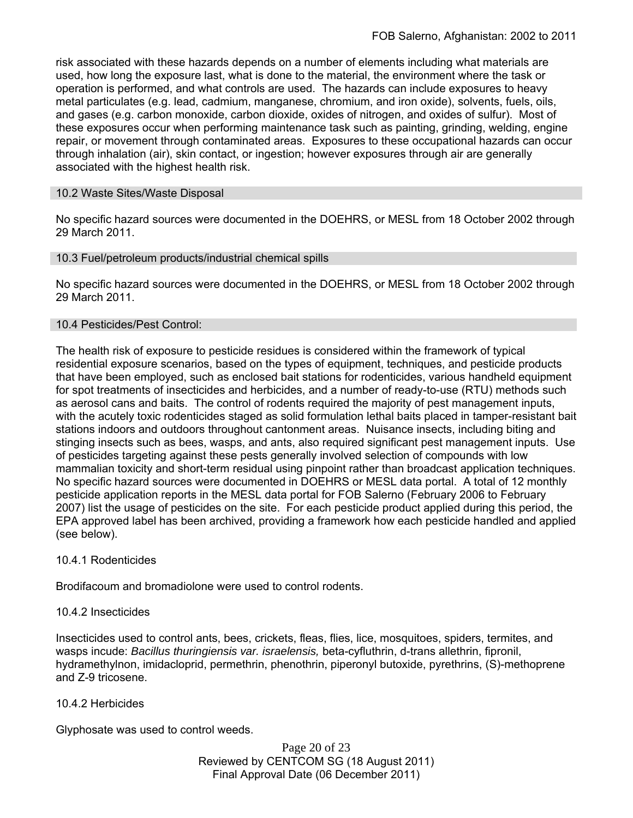risk associated with these hazards depends on a number of elements including what materials are used, how long the exposure last, what is done to the material, the environment where the task or operation is performed, and what controls are used. The hazards can include exposures to heavy metal particulates (e.g. lead, cadmium, manganese, chromium, and iron oxide), solvents, fuels, oils, and gases (e.g. carbon monoxide, carbon dioxide, oxides of nitrogen, and oxides of sulfur). Most of these exposures occur when performing maintenance task such as painting, grinding, welding, engine repair, or movement through contaminated areas. Exposures to these occupational hazards can occur through inhalation (air), skin contact, or ingestion; however exposures through air are generally associated with the highest health risk.

# 10.2 Waste Sites/Waste Disposal

No specific hazard sources were documented in the DOEHRS, or MESL from 18 October 2002 through 29 March 2011.

# 10.3 Fuel/petroleum products/industrial chemical spills

No specific hazard sources were documented in the DOEHRS, or MESL from 18 October 2002 through 29 March 2011.

# 10.4 Pesticides/Pest Control:

The health risk of exposure to pesticide residues is considered within the framework of typical residential exposure scenarios, based on the types of equipment, techniques, and pesticide products that have been employed, such as enclosed bait stations for rodenticides, various handheld equipment for spot treatments of insecticides and herbicides, and a number of ready-to-use (RTU) methods such as aerosol cans and baits. The control of rodents required the majority of pest management inputs, with the acutely toxic rodenticides staged as solid formulation lethal baits placed in tamper-resistant bait stations indoors and outdoors throughout cantonment areas. Nuisance insects, including biting and stinging insects such as bees, wasps, and ants, also required significant pest management inputs. Use of pesticides targeting against these pests generally involved selection of compounds with low mammalian toxicity and short-term residual using pinpoint rather than broadcast application techniques. No specific hazard sources were documented in DOEHRS or MESL data portal. A total of 12 monthly pesticide application reports in the MESL data portal for FOB Salerno (February 2006 to February 2007) list the usage of pesticides on the site. For each pesticide product applied during this period, the EPA approved label has been archived, providing a framework how each pesticide handled and applied (see below).

# 10.4.1 Rodenticides

Brodifacoum and bromadiolone were used to control rodents.

# 10.4.2 Insecticides

Insecticides used to control ants, bees, crickets, fleas, flies, lice, mosquitoes, spiders, termites, and wasps incude: *Bacillus thuringiensis var. israelensis,* beta-cyfluthrin, d-trans allethrin, fipronil, hydramethylnon, imidacloprid, permethrin, phenothrin, piperonyl butoxide, pyrethrins, (S)-methoprene and Z-9 tricosene.

# 10.4.2 Herbicides

Glyphosate was used to control weeds.

Page 20 of 23 Reviewed by CENTCOM SG (18 August 2011) Final Approval Date (06 December 2011)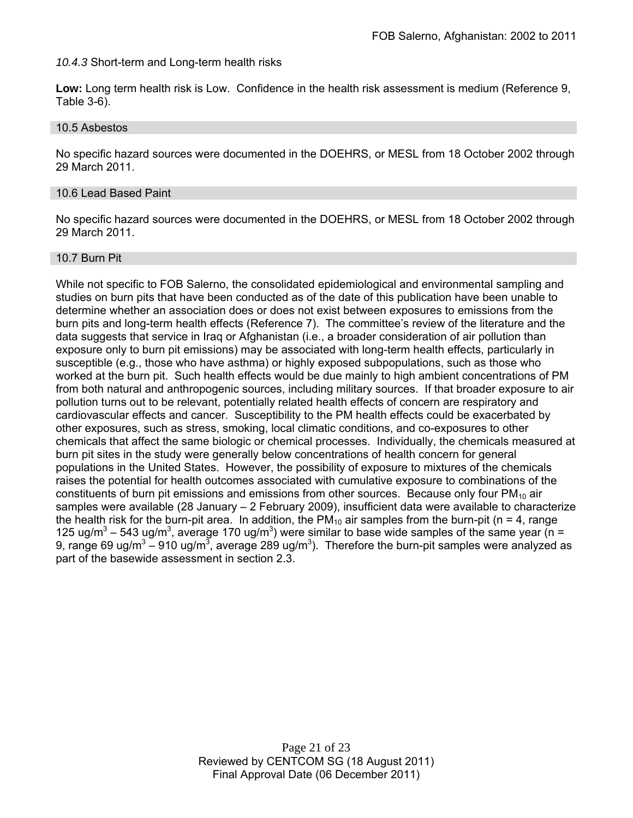*10.4.3* Short-term and Long-term health risks

**Low:** Long term health risk is Low. Confidence in the health risk assessment is medium (Reference 9, Table 3-6).

# 10.5 Asbestos

No specific hazard sources were documented in the DOEHRS, or MESL from 18 October 2002 through 29 March 2011.

#### 10.6 Lead Based Paint

No specific hazard sources were documented in the DOEHRS, or MESL from 18 October 2002 through 29 March 2011.

# 10.7 Burn Pit

While not specific to FOB Salerno, the consolidated epidemiological and environmental sampling and studies on burn pits that have been conducted as of the date of this publication have been unable to determine whether an association does or does not exist between exposures to emissions from the burn pits and long-term health effects (Reference 7). The committee's review of the literature and the data suggests that service in Iraq or Afghanistan (i.e., a broader consideration of air pollution than exposure only to burn pit emissions) may be associated with long-term health effects, particularly in susceptible (e.g., those who have asthma) or highly exposed subpopulations, such as those who worked at the burn pit. Such health effects would be due mainly to high ambient concentrations of PM from both natural and anthropogenic sources, including military sources. If that broader exposure to air pollution turns out to be relevant, potentially related health effects of concern are respiratory and cardiovascular effects and cancer. Susceptibility to the PM health effects could be exacerbated by other exposures, such as stress, smoking, local climatic conditions, and co-exposures to other chemicals that affect the same biologic or chemical processes. Individually, the chemicals measured at burn pit sites in the study were generally below concentrations of health concern for general populations in the United States. However, the possibility of exposure to mixtures of the chemicals raises the potential for health outcomes associated with cumulative exposure to combinations of the constituents of burn pit emissions and emissions from other sources. Because only four  $PM_{10}$  air samples were available (28 January – 2 February 2009), insufficient data were available to characterize the health risk for the burn-pit area. In addition, the  $PM_{10}$  air samples from the burn-pit (n = 4, range 125 ug/m<sup>3</sup> – 543 ug/m<sup>3</sup>, average 170 ug/m<sup>3</sup>) were similar to base wide samples of the same year (n = 9, range 69 ug/m<sup>3</sup> – 910 ug/m<sup>3</sup>, average 289 ug/m<sup>3</sup>). Therefore the burn-pit samples were analyzed as part of the basewide assessment in section 2.3.

> Page 21 of 23 Reviewed by CENTCOM SG (18 August 2011) Final Approval Date (06 December 2011)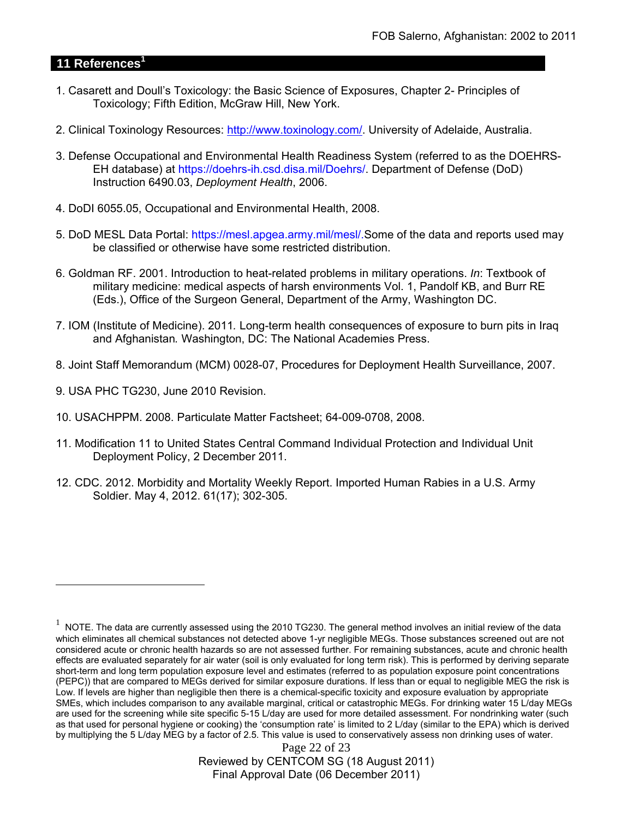# **11 References<sup>1</sup>**

- 1. Casarett and Doull's Toxicology: the Basic Science of Exposures, Chapter 2- Principles of Toxicology; Fifth Edition, McGraw Hill, New York.
- 2. Clinical Toxinology Resources: http://www.toxinology.com/. University of Adelaide, Australia.
- 3. Defense Occupational and Environmental Health Readiness System (referred to as the DOEHRS-EH database) at https://doehrs-ih.csd.disa.mil/Doehrs/. Department of Defense (DoD) Instruction 6490.03, *Deployment Health*, 2006.
- 4. DoDI 6055.05, Occupational and Environmental Health, 2008.
- 5. DoD MESL Data Portal: https://mesl.apgea.army.mil/mesl/.Some of the data and reports used may be classified or otherwise have some restricted distribution.
- 6. Goldman RF. 2001. Introduction to heat-related problems in military operations. *In*: Textbook of military medicine: medical aspects of harsh environments Vol. 1, Pandolf KB, and Burr RE (Eds.), Office of the Surgeon General, Department of the Army, Washington DC.
- 7. IOM (Institute of Medicine). 2011*.* Long-term health consequences of exposure to burn pits in Iraq and Afghanistan*.* Washington, DC: The National Academies Press.
- 8. Joint Staff Memorandum (MCM) 0028-07, Procedures for Deployment Health Surveillance, 2007.
- 9. USA PHC TG230, June 2010 Revision.

 $\overline{a}$ 

- 10. USACHPPM. 2008. Particulate Matter Factsheet; 64-009-0708, 2008.
- 11. Modification 11 to United States Central Command Individual Protection and Individual Unit Deployment Policy, 2 December 2011.
- 12. CDC. 2012. Morbidity and Mortality Weekly Report. Imported Human Rabies in a U.S. Army Soldier. May 4, 2012. 61(17); 302-305.

Page 22 of 23 Reviewed by CENTCOM SG (18 August 2011) Final Approval Date (06 December 2011)

 $1$  NOTE. The data are currently assessed using the 2010 TG230. The general method involves an initial review of the data which eliminates all chemical substances not detected above 1-yr negligible MEGs. Those substances screened out are not considered acute or chronic health hazards so are not assessed further. For remaining substances, acute and chronic health effects are evaluated separately for air water (soil is only evaluated for long term risk). This is performed by deriving separate short-term and long term population exposure level and estimates (referred to as population exposure point concentrations (PEPC)) that are compared to MEGs derived for similar exposure durations. If less than or equal to negligible MEG the risk is Low. If levels are higher than negligible then there is a chemical-specific toxicity and exposure evaluation by appropriate SMEs, which includes comparison to any available marginal, critical or catastrophic MEGs. For drinking water 15 L/day MEGs are used for the screening while site specific 5-15 L/day are used for more detailed assessment. For nondrinking water (such as that used for personal hygiene or cooking) the 'consumption rate' is limited to 2 L/day (similar to the EPA) which is derived by multiplying the 5 L/day MEG by a factor of 2.5. This value is used to conservatively assess non drinking uses of water.